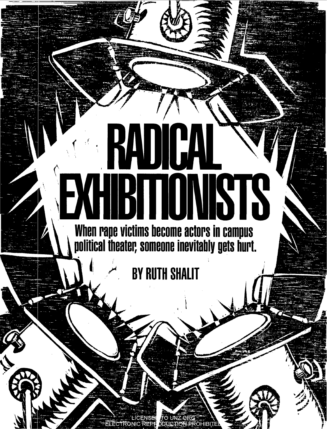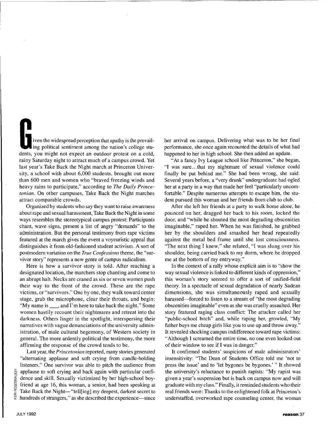iven the widespread perception that apathy is the prevailing political sentiment among the nation's college students, you might not expect an outdoor protest on a cold, rainy Saturday night to attract much of a campus crowd. Yet last year's Take Back the Night march at Princeton University, a school with about 6,000 students, brought out more than 600 men and women who "braved freezing winds and heavy rains to participate," according to *The Daily Princetonian.* On other campuses, Take Back the Night marches attract comparable crowds.

Organized by students who say they want to raise awareness about rape and sexual harassment, Take Back the Night in some ways resembles the stereotypical campus protest: Participants chant, wave signs, present a list of angry "demands" to the administration. But the personal testimony from rape victims featured at the march gives the event a voyeuristic appeal that distinguishes it from old-fashioned student activism. A sort of postmodern variation on the *True Confessions* theme, the "survivor story" represents a new genre of campus radicalism.

Here is how a survivor story is told. After reaching a designated location, the marchers stop chanting and come to an abrupt halt. Necks are craned as six or seven women push their way to the front of the crowd. These are the rape victims, or "survivors." One by one, they walk toward center stage, grab the microphone, clear their throats, and begin: "My name is  $\mu$ , and I'm here to take back the night." Some women hastily recount their nightmares and retreat into the darkness. Others linger in the spotlight, interspersing their narratives with vague denunciations of the university administration, of male cultural hegemony, of Western society in general. The more ardently political the testimony, the more affirming the response of the crowd tends to be.

Last year, the *Princetonian* reported, many stories generated "alternating applause and soft crying from candle-holding listeners." One survivor was able to pitch the audience from applause to soft crying and back again with particular confidence and skill. Sexually victimized by her high-school boyfriend at age 16, this woman, a senior, had been speaking at  $\frac{dE}{dt}$  Take Back the Night-"tell[ing] my deepest, darkest secret to  $\frac{dE}{dt}$  hundreds of strangers." as she described the experience-since hundreds of strangers," as she described the experience—since

her arrival on campus. Delivering what was to be her final performance, she once again recounted the details of what had happened to her in high school. She then added an update.

"At a fancy Ivy League school like Princeton," she began, **"I** was sure ... that my nightmare of sexual violence could finally be put behind me." She had been wrong, she said. Several years before, a "very drunk" undergraduate had ogled her at a party in a way that made her feel "particularly uncomfortable." Despite numerous attempts to escape him, the student pursued this woman and her friends from club to club.

After she left her friends at a party to walk home alone, he pounced on her, dragged her back to his room, locked the door, and "while he shouted the most degrading obscenities imaginable," raped her. When he was finished, he grabbed her by the shoulders and smashed her head repeatedly against the metal bed frame until she lost consciousness. "The next thing I knew," she related, "I was slung over his shoulder, being carried back to my dorm, where he dropped me at the bottom of my entryway."

In the context of a rally whose explicit aim is to "show the way sexual violence is linked to different kinds of oppression," this woman's story seemed to offer a sort of unified-field theory. In a spectacle of sexual degradation of nearly Sadean dimensions, she was simultaneously raped and sexually harassed—forced to listen to a stream of "the most degrading obscenities imaginable" even as she was cruelly assaulted. Her story featured raging class conflict: The attacker called her "public-school bitch" and, while raping her, growled, "My father buys me cheap girls like you to use up and throw away." It revealed shocking campus indifference toward rape victims: "Although I screamed the entire time, no one even looked out of their window to see if **I** was in danger."

It confirmed students' suspicions of male administrators' insensitivity: "The Dean of Students Office told me 'not to press the issue' and to 'let bygones be bygones.' " It showed the university's reluctance to punish rapists: "My rapist was given a year's suspension but is back on campus now and will graduate with my class." Finally, it reminded students who their real friends were: Thanks to the enlightened folk at Princeton's understaffed, overworked rape counseling center, the woman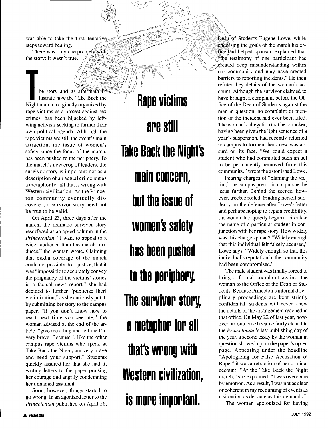was able to take the first, tentat steps toward healing.

*I'* 

There was only one problem with the story: It wasn't true.

he story and its <sup>1</sup>**T** lustrate how the Take Back the Night march, originally organized by rape victims as a protest against sex crimes, has been hijacked by leftwing activists seeking to further their own political agenda. Although the rape victims are still the event's main attraction, the issue of women's safety, once the focus of the march, has been pushed to the periphery. To the march's new crop of leaders, the survivor story is important not as a description of an actual crime but as a metaphor for all that is wrong with Western civilization. As the Princeton community eventually discovered, a survivor story need not be true to be valid.

On April 23, three days after the march, the dramatic survivor story resurfaced as an op-ed column in the *Princetonian.* "I want to appeal to a wider audience than the march produces," the woman wrote. Claiming that media coverage of the march could not possibly do it justice, that it was "impossible to accurately convey the poignancy of the victims' stories in a factual news report," she had decided to further "publicize [her] victimization," as she curiously put it, by submitting her story to the campus paper. "If you don't know how to react next time you see me," the woman advised at the end of the article, "give me a hug and tell me I'm very brave. Because I, like the other campus rape victims who speak at Take Back the Night, am very brave and need your support." Students quickly assured her that she had it, writing letters to the paper praising her courage and angrily condemning her unnamed assailant.

Soon, however, things started to go wrong. In an agonized letter to the *Princetonian* published on April 26,

" **Rape victims are still Take Back the Might's main concern, but the issue of women's safety has been pushed to the periphery. The survivor story, a metaphor for all that's wrong with Western civilization, is more important.** 

Dean of Students Eugene Lowe, while endorsing the goals of the march his office had helped sponsor, explained that the testimony of one participant has  $\mathcal{L}$  effeated deep misunderstanding within our community and may have created  $\langle$ our community and may have created barriers to reporting incidents." He then refuted key details of the woman's account. Although the survivor claimed to have brought a complaint before the Office of the Dean of Students against the man in question, no complaint or mention of the incident had ever been filed. The woman's allegation that her attacker, having been given the light sentence of a year's suspension, had recently returned to campus to torment her anew was absurd on its face. "We could expect a student who had committed such an act to be permanently removed from this community," wrote the astonished Lowe.

Fearing charges of "blaming the victim," the campus press did not pursue the issue further. Behind the scenes, however, trouble roiled. Finding herself suddenly on the defense after Lowe's letter and perhaps hoping to regain credibility, the woman had quietly begun to circulate the name of a particular student in conjunction with her rape story. How widely was this charge spread? "Widely enough that this individual felt falsely accused," Lowe says. "Widely enough so that this individual's reputation in the community had been compromised."

The male student was finally forced to bring a formal complaint against the woman to the Office of the Dean of Students. Because Princeton's internal disciplinary proceedings are kept strictly confidential, students will never know the details of the arrangement reached in that office. On May 22 of last year, however, its outcome became fairly clear. On the *Princetonian's* last publishing day of the year, a second essay by the woman in question showed up on the paper's op-ed page. Appearing under the headline "Apologizing for False Accusation of Rape," it was a retraction of her original account. "At the Take Back the Night march," she explained, "I was overcome by emotion. As a result, I was not as clear or coherent in my recounting of events as a situation as delicate as this demands."

The woman apologized for having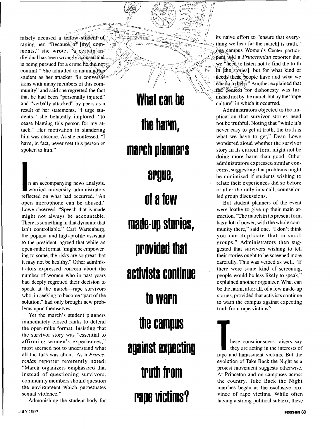falsely accused a fellow student of Alberta is naive effort to "ensure that every-<br>raping her. "Because of fmyl comments," she wrote, "a certain individual has been wrongly accused and is being pursued for a crime he did not commit." She admitted to naming this student as her attacker "in conversations with many members of this community" and said she regretted the fact that he had been "personally injured" and "verbally attacked" by peers as a result of her statements. "I urge students," she belatedly implored, "to cease blaming this person for my attack." Her motivation in slandering him was obscure. **As** she confessed, "I have, in fact, never met this person or spoken to him."

n an accompanying news analysis,<br>worried university administrators reflected on what had occurred. "An open microphone can be abused," Lowe observed. "Speech that is made might not always be accountable. There is something in that dynamic that isn't controllable." Carl Wartenburg, the popular and high-profile assistant to the president, agreed that while an open-mike format "might be empowering to some, the risks are so great that it may not be healthy." Other administrators expressed concern about the number of women who in past years had deeply regretted their decision to speak at the march-rape survivors who, in seeking to become "part of the solution," had only brought new problems upon themselves.

Yet the march's student planners immediately closed ranks to defend the open-mike format. Insisting that the survivor story was "essential to affirming women's experiences," most seemed not to understand what all the fuss was about. As a *Princetonian* reporter reverently noted: "March organizers emphasized that instead of questioning survivors, community members should question the environment which perpetuates sexual violence."

Admonishing the student body for

**What can be the harm, march planners argue, of a few made-up stories, provided that activists continue to warn the campus against expecting truth from rape victims?** 

one campus Women's Center participant fold a *Princetonian* reporter that we "need to listen not to find the truth" in line stories], but for what kind of needs these people have and what we can do to help." Another explained that the context for dishonesty was fur-\, nished not by the march but by the "rape culture" in which it occurred.

Administrators objected to the implication that survivor stories need not be truthful. Noting that "while it's never easy to get at truth, the truth is what we have to get," Dean Lowe wondered aloud whether the survivor story in its current form might not be doing more harm than good. Other administrators expressed similar concerns, suggesting that problems might be minimized if students wishing to relate their experiences did so before or after the rally in small, counselorled group discussions.

But student planners of the event were loathe to give up their main attraction. "The march in its present form has a lot of power, with the whole community there," said one. "I don't think you can duplicate that in small groups." Administrators then suggested that survivors wishing to tell their stories ought to be screened more carefully. This was vetoed as well. "If there were some kind of screening, people would be less likely to speak," explained another organizer. What can be the harm, after all, of a few made-up stories, provided that activists continue to warn the campus against expecting truth from rape victims?

hese consciousness raisers say<br>they are acting in the interests of rape and harassment victims. But the evolution of Take Back the Night as a protest movement suggests otherwise. At Princeton and on campuses across the country, Take Back the Night marches began as the exclusive province of rape victims. While often having a strong political subtext, these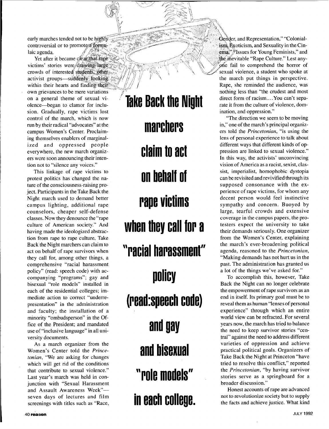early marches tended not to be highly controversial or to promote a formulaic agenda.

Yet after it became clears that rape victims' stories were drawing large activist groups-suddenly looking within their hearts and finding their own grievances to be mere variations on a general theme of sexual violence-began to clamor for inclusion. Gradually, rape victims lost control of the march, which is now run **by** their radical "advocates" at the campus Women's Center. Proclaiming themselves enablers of marginalized and oppressed people everywhere, the new march organizers were soon announcing their intention not to "silence any voices."

This linkage of rape victims to protest politics has changed the nature of the consciousness-raising project. Participants in the Take Back the Night march used to demand better campus lighting, additional rape counselors, cheaper self-defense classes. Now they denounce the "rape culture of American society." And having made the ideologized abstraction from rape to rape culture, Take Back the Night marchers can claim to act on behalf of rape survivors when they call for, among other things, a comprehensive "racial harassment policy" (read: speech code) with accompanying "programs"; gay and bisexual "role models" installed in each of the residential colleges; immediate action to correct "underrepresentation" in the administration and Faculty; the installation of a minority "ombudsperson" in the Office of the President; and mandated use of "inclusive language" in all university documents.

As a march organizer from the Women's Center told the *Princetonian,* "We are asking for changes which will get rid of the conditions that contribute to sexual violence." Last year's march was held in conjunction with "Sexual Harassment and Assault Awareness Week"seven days of lectures and film screenings with titles such as "Race,

**Take Back the Night marc hers claim to act on behalf of rape victims when they call for a "racial harassment" policy**  (read:speech code) **and gay and bisexual "role models" in each colleue.** 

Gender, and Representation," "Colonial- $\lim_{k \to \infty}$  Exoticism, and Sexuality in the Cin- $\sum_{n=1}^{\infty}$   $\sum_{n=1}^{\infty}$  Issues for Young Feminists," and the inevitable "Rape Culture." Lest anyone fail to comprehend the horror of crowds of interested students, other  $\mathbb{Z}$  /// $\mathbb{Z}$   $\mathbb{Z}$  is  $\mathbb{Z}$  sexual violence, a student who spoke at the march put things in perspective. Rape, she reminded the audience, was nothing less than "the crudest and most direct form of racism....You can't separate it from the culture of violence, domination, and oppression."

"The direction we seem to be moving in," one of the march's principal organizers told the *Princetonian,* "is using the lens of personal experience to talk about different ways that different kinds of oppression are linked to sexual violence." In this way, the activists' unconvincing vision of America as a racist, sexist, classist, imperialist, homophobic dystopia can be revisited and revivified through its supposed consonance with the experience of rape victims, for whom any decent person would feel instinctive sympathy and concern. Buoyed by large, tearful crowds and extensive coverage in the campus papers, the protesters expect the university to take their demands seriously. One organizer from the Women's Center, explaining the march's ever-broadening political agenda, reasoned to the *Princetonian,*  "Making demands has not hurt us in the past. The administration has granted us a lot of the things we've asked for."

To accomplish this, however, Take Back the Night can no longer celebrate the empowerment of rape survivors as an end in itself. Its primary goal must be to reveal them as human "lenses of personal experience" through which an entire world view can be refracted. For several years now, the march has tried to balance the need to keep survivor stories "central" against the need to address different varieties of oppression and achieve practical political goals. Organizers of Take Back the Night at Princeton "have tried to resolve this conflict," reported the *Princetonian,* "by having survivor stories serve as a springboard for a broader discussion."

Honest accounts of rape are advanced not to revolutionize society but to supply the facts and achieve justice. What kind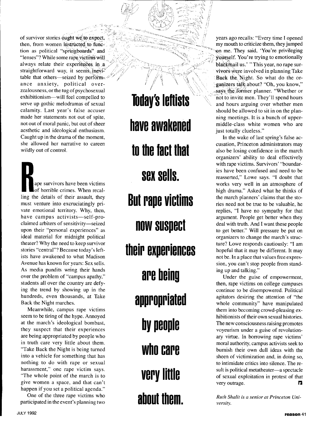of survivor stories ought we to expect. then, from women instructed to function as political "springboards" and "lenses"? While some rape victims will always relate their experiences in a straightforward way, it seems inevitable that others—seized by perform- $\mathcal{P}$ ance anxiety, political overzealousness, or the tug of psychosexual exhibitionism--will feel compelled to serve up gothic melodramas of sexual calamity. Last year's false accuser made her statements not out of spite, not out of moral panic, but out of sheer aesthetic and ideological enthusiasm. Caught up in the drama of the moment, she allowed her narrative to careen wildly out of control.

ape survivors have been victims of horrible crimes. When recalling the details of their assault, they must venture into excruciatingly private emotional territory. Why, then, have campus activists-self-proclaimed arbiters of sensitivity-seized upon their "personal experiences" as ideal material for midnight political theater? Why the need to keep survivor stories "central"? Because today's leftists have awakened to what Madison Avenue has known for years: Sex sells. As media pundits wring their hands over the problem of "campus apathy," students all over the country are defying the trend by showing up in the hundreds, even thousands, at Take Back the Night marches.

Meanwhile, campus rape victims seem to be tiring of the hype. Annoyed at the march's ideological bombast, they suspect that their experiences are being appropriated by people who in truth care very little about them. "Take Back the Night is being turned into a vehicle for something that has nothing to do with rape or sexual harassment," one rape victim says. "The whole point of the march is to give women a space, and that can't happen if you set a political agenda."

One of the three rape victims who participated in the event's planning two

**Today's leftists have awakened to the fact that But rape victims now suspect their experiences are being appropriated by people who care very little about them. Sex sells.** 

years ago recalls: "Every time I opened my mouth to criticize them, they jumped yn me. They said, 'You're privileging yourself. You're trying to emotionally blackmail us.' "This year, no rape survivors were involved in planning Take Back the Night. So what do the organizers talk about? "Oh, you know," says the former planner. "Whether or not to invite men. They'll spend hours and hours arguing over whether men should be allowed to sit in on the planning meetings. It is a bunch of uppermiddle-class white women who are just totally clueless."

In the wake of last spring's false accusation, Princeton administrators may also be losing confidence in the march organizers' ability to deal effectively with rape victims. Survivors' "boundaries have been confused and need to be reasserted," Lowe says. **"I** doubt that works very well in an atmosphere of high drama." Asked what he thinks of the march planners' claims that the stories need not be true to be valuable, he replies, **"I** have no sympathy for that argument. People get better when they deal with truth. And I want these people to get better." Will pressure be put on organizers to change the march's structure? Lowe responds cautiously: **"I** am hopeful that it may be different. It may not be. In a place that values free expression, you can't stop people from standing up and talking."

Under the guise of empowerment, then, rape victims on college campuses continue to be disempowered. Political agitators desiring the attention of "the whole community" have manipulated them into becoming crowd-pleasing exhibitionists of their own sexual histories. The new consciousness raising promotes voyeurism under a guise of revolution*ary* virtue. In borrowing rape victims' moral authority, campus activists seek to burnish their own dull ideas with the sheen of victimization and, in doing so, to intimidate critics into silence. The result is political metatheater-a spectacle of sexual exploitation in protest of that very outrage.

*Ruth Shalit is a senior at Princeton University.*